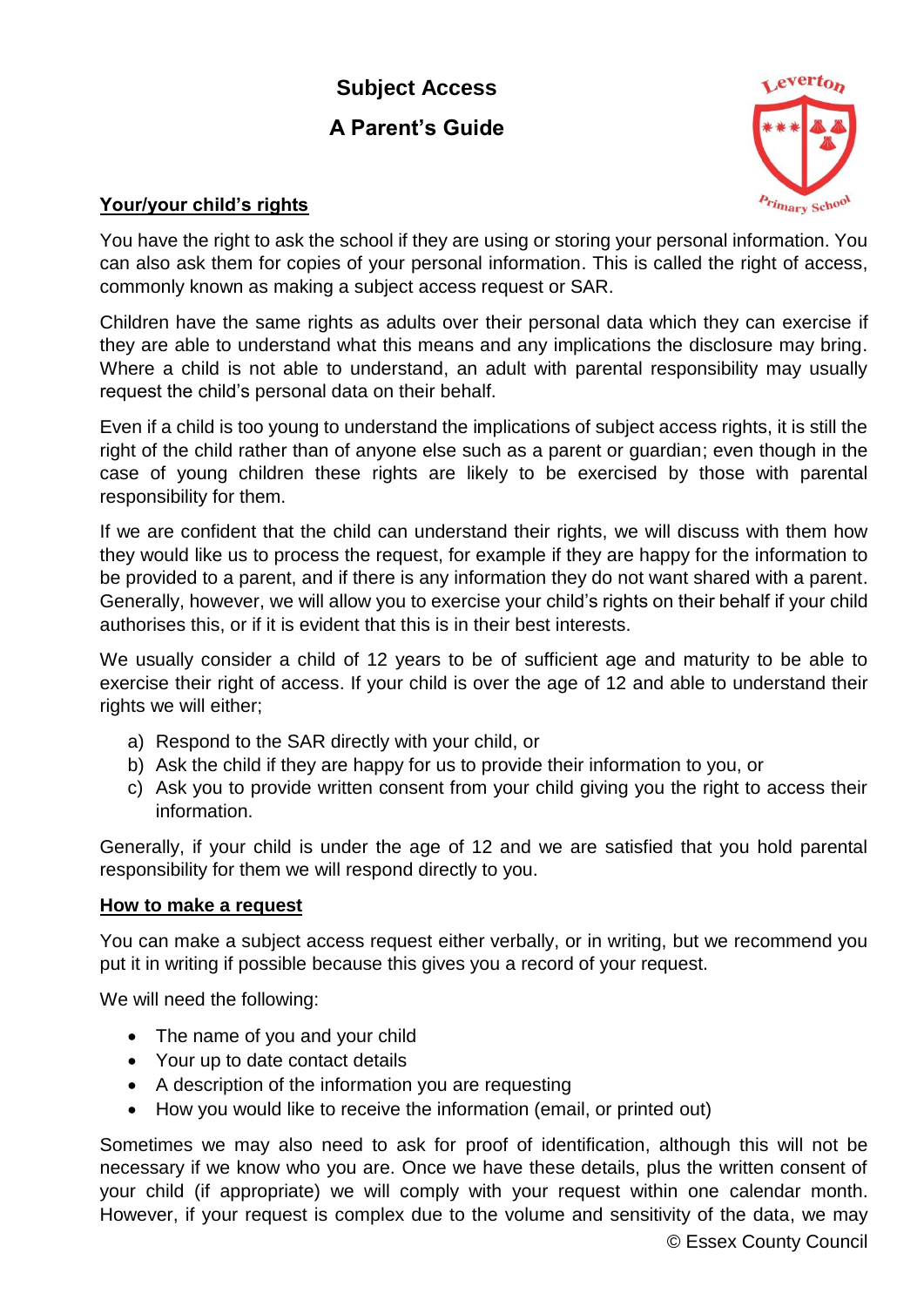## **Subject Access A Parent's Guide**



## **Your/your child's rights**

You have the right to ask the school if they are using or storing your personal information. You can also ask them for copies of your personal information. This is called the right of access, commonly known as making a subject access request or SAR.

Children have the same rights as adults over their personal data which they can exercise if they are able to understand what this means and any implications the disclosure may bring. Where a child is not able to understand, an adult with parental responsibility may usually request the child's personal data on their behalf.

Even if a child is too young to understand the implications of subject access rights, it is still the right of the child rather than of anyone else such as a parent or guardian; even though in the case of young children these rights are likely to be exercised by those with parental responsibility for them.

If we are confident that the child can understand their rights, we will discuss with them how they would like us to process the request, for example if they are happy for the information to be provided to a parent, and if there is any information they do not want shared with a parent. Generally, however, we will allow you to exercise your child's rights on their behalf if your child authorises this, or if it is evident that this is in their best interests.

We usually consider a child of 12 years to be of sufficient age and maturity to be able to exercise their right of access. If your child is over the age of 12 and able to understand their rights we will either:

- a) Respond to the SAR directly with your child, or
- b) Ask the child if they are happy for us to provide their information to you, or
- c) Ask you to provide written consent from your child giving you the right to access their information.

Generally, if your child is under the age of 12 and we are satisfied that you hold parental responsibility for them we will respond directly to you.

## **How to make a request**

You can make a subject access request either verbally, or in writing, but we recommend you put it in writing if possible because this gives you a record of your request.

We will need the following:

- The name of you and your child
- Your up to date contact details
- A description of the information you are requesting
- How you would like to receive the information (email, or printed out)

Sometimes we may also need to ask for proof of identification, although this will not be necessary if we know who you are. Once we have these details, plus the written consent of your child (if appropriate) we will comply with your request within one calendar month. However, if your request is complex due to the volume and sensitivity of the data, we may